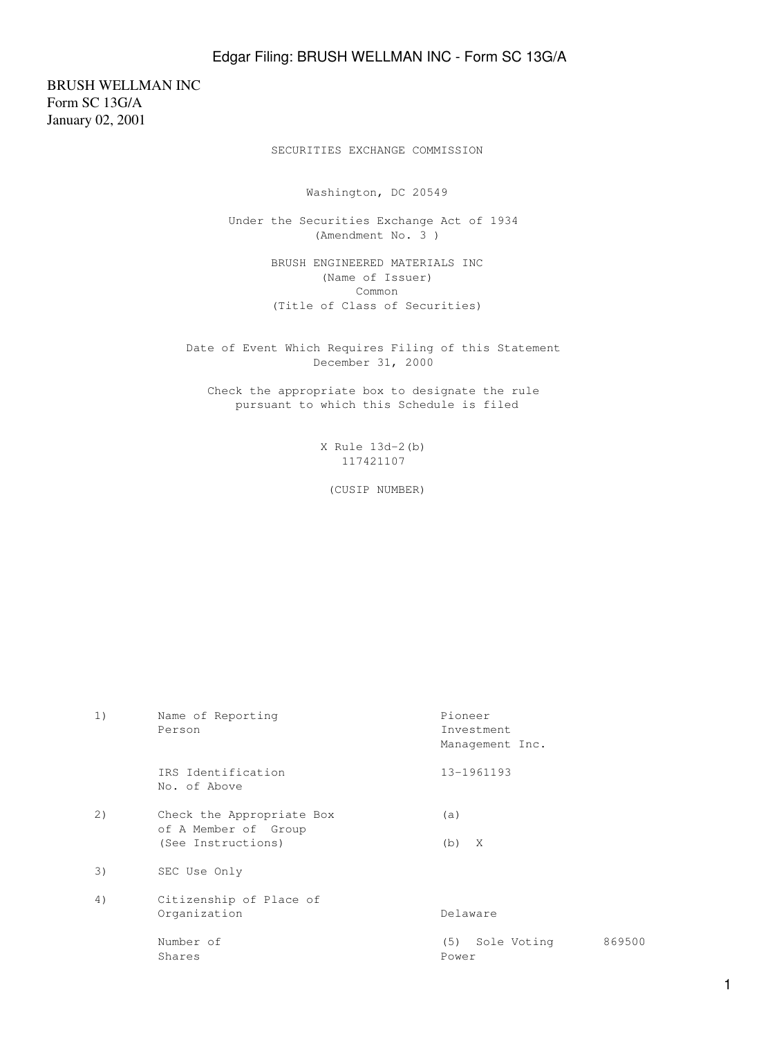BRUSH WELLMAN INC Form SC 13G/A January 02, 2001

SECURITIES EXCHANGE COMMISSION

Washington, DC 20549

 Under the Securities Exchange Act of 1934 (Amendment No. 3 )

> BRUSH ENGINEERED MATERIALS INC (Name of Issuer) Common (Title of Class of Securities)

 Date of Event Which Requires Filing of this Statement December 31, 2000

 Check the appropriate box to designate the rule pursuant to which this Schedule is filed

> X Rule 13d-2(b) 117421107

(CUSIP NUMBER)

| 1) | Name of Reporting<br>Person                                             | Pioneer<br>Investment<br>Management Inc. |        |
|----|-------------------------------------------------------------------------|------------------------------------------|--------|
|    | IRS Identification<br>No. of Above                                      | 13-1961193                               |        |
| 2) | Check the Appropriate Box<br>of A Member of Group<br>(See Instructions) | (a)<br>$(b)$ X                           |        |
| 3) | SEC Use Only                                                            |                                          |        |
| 4) | Citizenship of Place of<br>Organization                                 | Delaware                                 |        |
|    | Number of<br>Shares                                                     | Sole Voting<br>(5)<br>Power              | 869500 |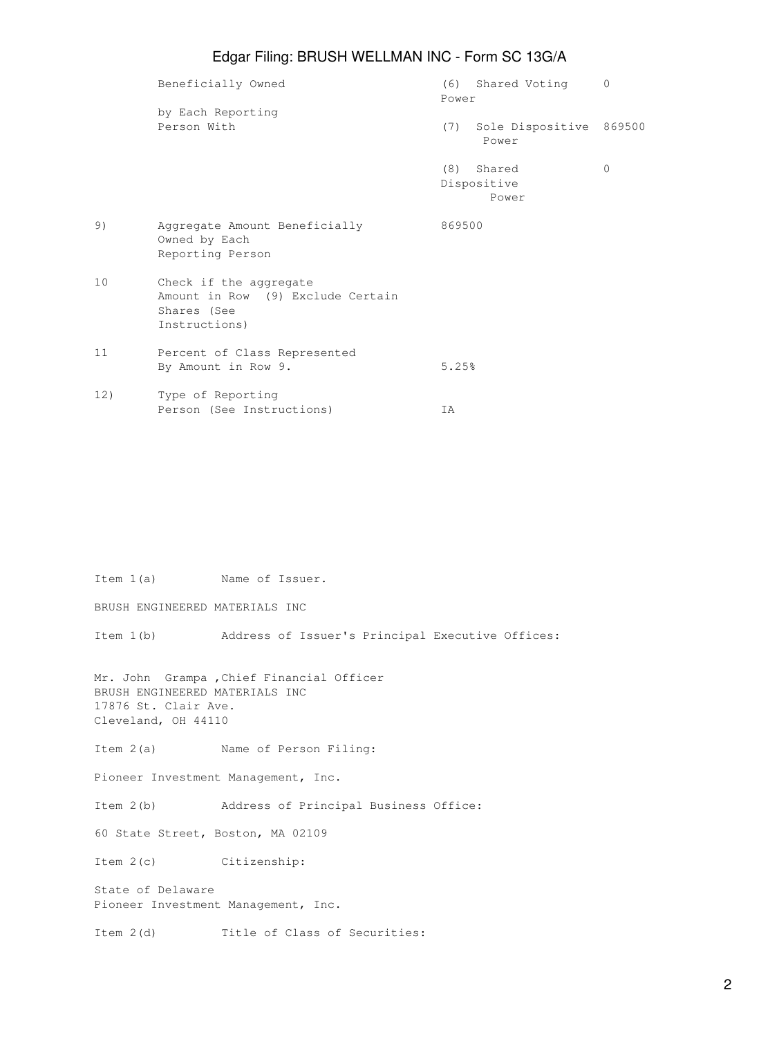## Edgar Filing: BRUSH WELLMAN INC - Form SC 13G/A

|     | Beneficially Owned                                                                          | Power  | (6) Shared Voting                | $\mathbf{0}$ |
|-----|---------------------------------------------------------------------------------------------|--------|----------------------------------|--------------|
|     | by Each Reporting<br>Person With                                                            | (7)    | Sole Dispositive 869500<br>Power |              |
|     |                                                                                             | (8)    | Shared<br>Dispositive<br>Power   | $\mathbf{0}$ |
| 9)  | Aggregate Amount Beneficially<br>Owned by Each<br>Reporting Person                          | 869500 |                                  |              |
| 10  | Check if the aggregate<br>Amount in Row (9) Exclude Certain<br>Shares (See<br>Instructions) |        |                                  |              |
| 11  | Percent of Class Represented<br>By Amount in Row 9.                                         | 5.25%  |                                  |              |
| 12) | Type of Reporting<br>Person (See Instructions)                                              | ΙA     |                                  |              |

BRUSH ENGINEERED MATERIALS INC Item 1(b) Address of Issuer's Principal Executive Offices: Mr. John Grampa ,Chief Financial Officer BRUSH ENGINEERED MATERIALS INC 17876 St. Clair Ave. Cleveland, OH 44110 Item 2(a) Name of Person Filing: Pioneer Investment Management, Inc. Item 2(b) Address of Principal Business Office: 60 State Street, Boston, MA 02109 Item 2(c) Citizenship: State of Delaware Pioneer Investment Management, Inc. Item 2(d) Title of Class of Securities:

Item 1(a) Name of Issuer.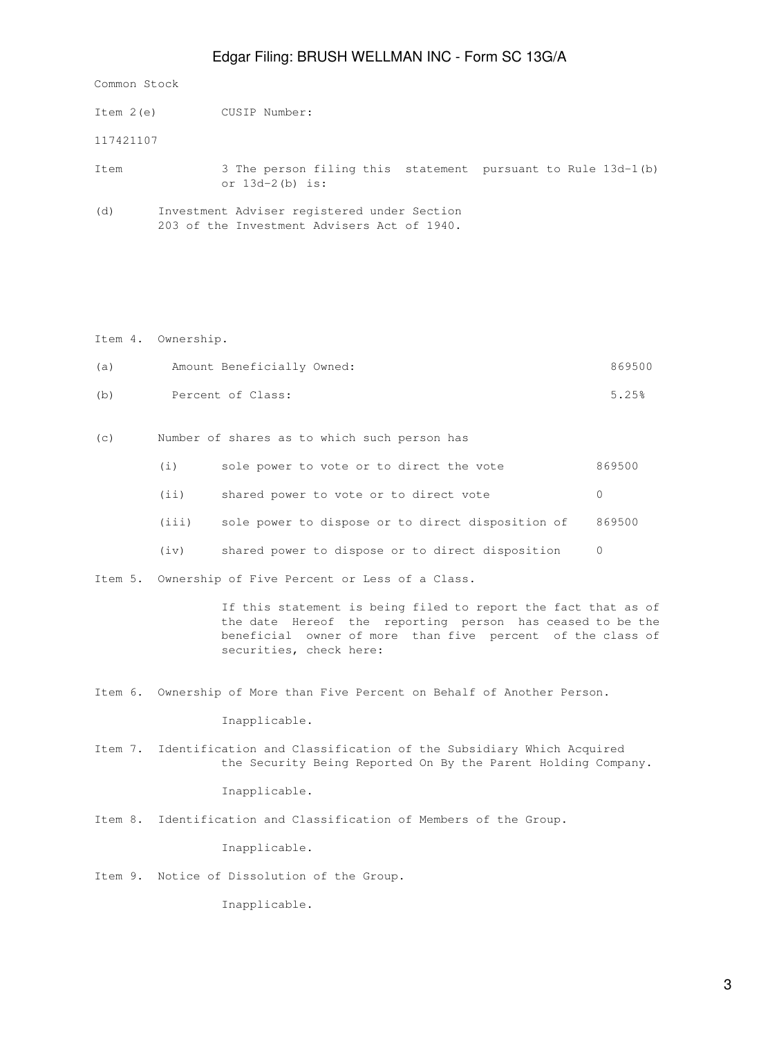## Edgar Filing: BRUSH WELLMAN INC - Form SC 13G/A

Common Stock

| Item 2(e) | CUSIP Number:                                                                              |  |  |  |
|-----------|--------------------------------------------------------------------------------------------|--|--|--|
| 117421107 |                                                                                            |  |  |  |
| Item      | 3 The person filing this statement pursuant to Rule 13d-1(b)<br>or $13d-2(b)$ is:          |  |  |  |
| (d)       | Investment Adviser registered under Section<br>203 of the Investment Advisers Act of 1940. |  |  |  |

Item 4. Ownership.

| (a) | Amount Beneficially Owned: | 869500 |
|-----|----------------------------|--------|
| (b) | Percent of Class:          | 5.25%  |

(c) Number of shares as to which such person has

| (i)   | sole power to vote or to direct the vote                 | 869500 |
|-------|----------------------------------------------------------|--------|
| (i)   | shared power to vote or to direct vote                   |        |
| (iii) | sole power to dispose or to direct disposition of 869500 |        |

(iv) shared power to dispose or to direct disposition 0

Item 5. Ownership of Five Percent or Less of a Class.

 If this statement is being filed to report the fact that as of the date Hereof the reporting person has ceased to be the beneficial owner of more than five percent of the class of securities, check here:

Item 6. Ownership of More than Five Percent on Behalf of Another Person.

Inapplicable.

Item 7. Identification and Classification of the Subsidiary Which Acquired the Security Being Reported On By the Parent Holding Company.

Inapplicable.

Item 8. Identification and Classification of Members of the Group.

Inapplicable.

Item 9. Notice of Dissolution of the Group.

Inapplicable.